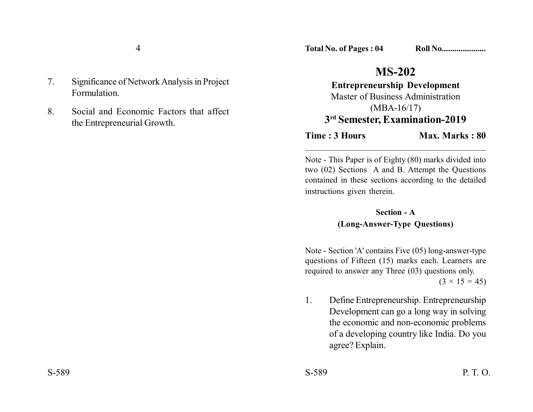- 7. Significance of Network Analysis in Project Formulation.
- 8. Social and Economic Factors that affect the Entrepreneurial Growth.

## **MS-202**

**Entrepreneurship Development** Master of Business Administration (MBA-16/17) **3rd Semester, Examination-2019**

**Time : 3 Hours Max. Marks : 80** 

Note - This Paper is of Eighty (80) marks divided into two (02) Sections A and B. Attempt the Questions contained in these sections according to the detailed instructions given therein.

\_\_\_\_\_\_\_\_\_\_\_\_\_\_\_\_\_\_\_\_\_\_\_\_\_\_\_\_\_\_\_\_\_\_\_\_\_\_\_\_\_

## **Section - A (Long-Answer-Type Questions)**

Note - Section 'A' contains Five (05) long-answer-type questions of Fifteen (15) marks each. Learners are required to answer any Three (03) questions only.

 $(3 \times 15 = 45)$ 

1. Define Entrepreneurship. Entrepreneurship Development can go a long way in solving the economic and non-economic problems of a developing country like India. Do you agree? Explain.